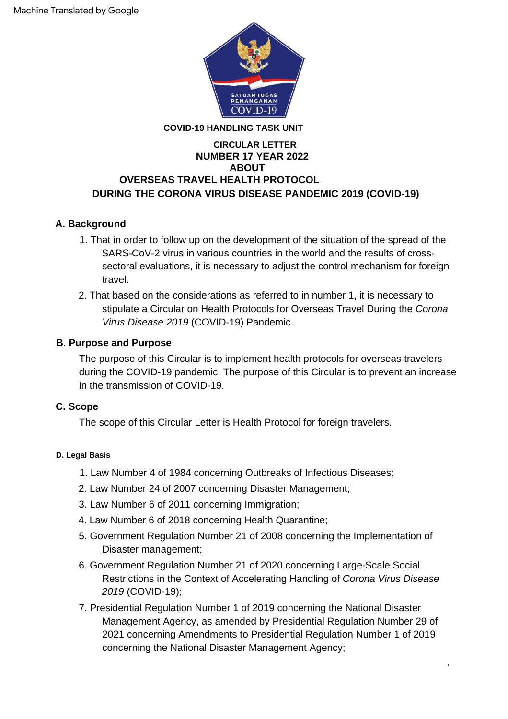

## **COVID-19 HANDLING TASK UNIT**

## **NUMBER 17 YEAR 2022 OVERSEAS TRAVEL HEALTH PROTOCOL ABOUT DURING THE CORONA VIRUS DISEASE PANDEMIC 2019 (COVID-19) CIRCULAR LETTER**

## **A. Background**

- 1. That in order to follow up on the development of the situation of the spread of the SARS-CoV-2 virus in various countries in the world and the results of crosssectoral evaluations, it is necessary to adiust the control mechanism for foreign travel.
- 2. That based on the considerations as referred to in number 1, it is necessary to stipulate a Circular on Health Protocols for Overseas Travel During the Corona Virus Disease 2019 (COVID-19) Pandemic.

## **B. Purpose and Purpose**

The purpose of this Circular is to implement health protocols for overseas travelers during the COVID-19 pandemic. The purpose of this Circular is to prevent an increase in the transmission of COVID-19.

## **C. Scope**

The scope of this Circular Letter is Health Protocol for foreign travelers.

## **D. Legal Basis**

- 1. Law Number 4 of 1984 concerning Outbreaks of Infectious Diseases;
- 2. Law Number 24 of 2007 concerning Disaster Management;
- 3. Law Number 6 of 2011 concerning Immigration;
- 4. Law Number 6 of 2018 concerning Health Quarantine;
- Disaster management; 5. Government Regulation Number 21 of 2008 concerning the Implementation of
- 6. Government Regulation Number 21 of 2020 concerning Large-Scale Social Restrictions in the Context of Accelerating Handling of Corona Virus Disease 2019 (COVID-19);
- 7. Presidential Regulation Number 1 of 2019 concerning the National Disaster Management Agency, as amended by Presidential Regulation Number 29 of 2021 concerning Amendments to Presidential Regulation Number 1 of 2019 concerning the National Disaster Management Agency;

1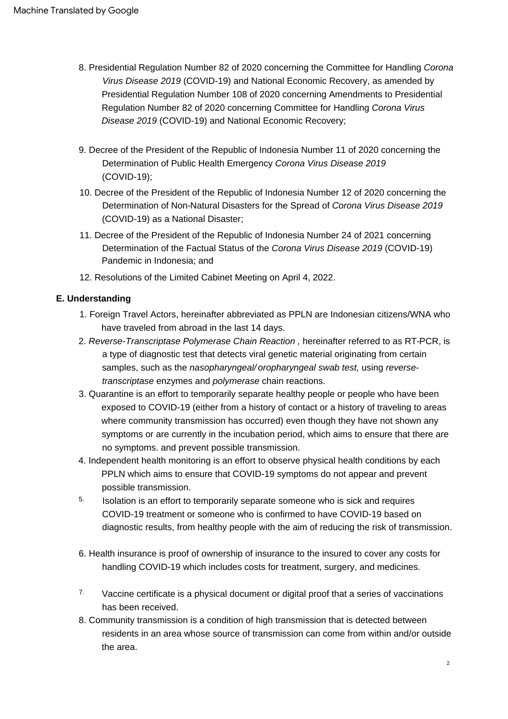- 8. Presidential Regulation Number 82 of 2020 concerning the Committee for Handling Corona Virus Disease 2019 (COVID-19) and National Economic Recovery, as amended by Presidential Regulation Number 108 of 2020 concerning Amendments to Presidential Regulation Number 82 of 2020 concerning Committee for Handling Corona Virus Disease 2019 (COVID-19) and National Economic Recovery;
- (COVID-19); 9. Decree of the President of the Republic of Indonesia Number 11 of 2020 concerning the Determination of Public Health Emergency Corona Virus Disease 2019
- (COVID-19) as a National Disaster; 10. Decree of the President of the Republic of Indonesia Number 12 of 2020 concerning the Determination of Non-Natural Disasters for the Spread of Corona Virus Disease 2019
- 11. Decree of the President of the Republic of Indonesia Number 24 of 2021 concerning Determination of the Factual Status of the Corona Virus Disease 2019 (COVID-19) Pandemic in Indonesia; and
- 12. Resolutions of the Limited Cabinet Meeting on April 4, 2022.

#### **E. Understanding**

- 1. Foreign Travel Actors, hereinafter abbreviated as PPLN are Indonesian citizens/WNA who have traveled from abroad in the last 14 days.
- 2. Reverse-Transcriptase Polymerase Chain Reaction , hereinafter referred to as RT-PCR, is a type of diagnostic test that detects viral genetic material originating from certain samples, such as the nasopharyngeal/ oropharyngeal swab test, using reversetranscriptase enzymes and polymerase chain reactions.
- 3. Quarantine is an effort to temporarily separate healthy people or people who have been exposed to COVID-19 (either from a history of contact or a history of traveling to areas where community transmission has occurred) even though they have not shown any symptoms or are currently in the incubation period, which aims to ensure that there are no symptoms. and prevent possible transmission.
- 4. Independent health monitoring is an effort to observe physical health conditions by each PPLN which aims to ensure that COVID-19 symptoms do not appear and prevent possible transmission.
- Isolation is an effort to temporarily separate someone who is sick and requires COVID-19 treatment or someone who is confirmed to have COVID-19 based on diagnostic results, from healthy people with the aim of reducing the risk of transmission. 5.
- 6. Health insurance is proof of ownership of insurance to the insured to cover any costs for handling COVID-19 which includes costs for treatment, surgery, and medicines.
- Vaccine certificate is a physical document or digital proof that a series of vaccinations has been received. 7.
- 8. Community transmission is a condition of high transmission that is detected between residents in an area whose source of transmission can come from within and/or outside the area.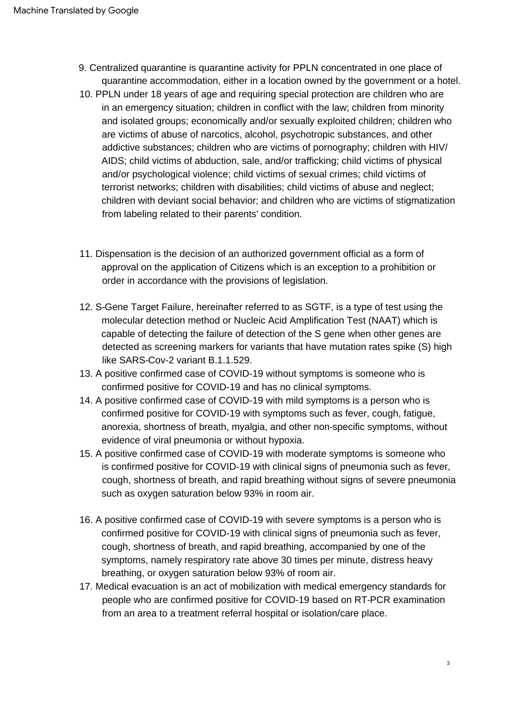- 9. Centralized quarantine is quarantine activity for PPLN concentrated in one place of quarantine accommodation, either in a location owned by the government or a hotel.
- 10. PPLN under 18 years of age and requiring special protection are children who are in an emergency situation; children in conflict with the law; children from minority and isolated groups; economically and/or sexually exploited children; children who are victims of abuse of narcotics, alcohol, psychotropic substances, and other addictive substances; children who are victims of pornography; children with HIV/ AIDS; child victims of abduction, sale, and/or trafficking; child victims of physical and/or psychological violence; child victims of sexual crimes; child victims of terrorist networks; children with disabilities; child victims of abuse and neglect; children with deviant social behavior; and children who are victims of stigmatization from labeling related to their parents' condition.
- 11. Dispensation is the decision of an authorized government official as a form of approval on the application of Citizens which is an exception to a prohibition or order in accordance with the provisions of legislation.
- 12. S-Gene Target Failure, hereinafter referred to as SGTF, is a type of test using the molecular detection method or Nucleic Acid Amplification Test (NAAT) which is capable of detecting the failure of detection of the S gene when other genes are detected as screening markers for variants that have mutation rates spike (S) high like SARS-Cov-2 variant B.1.1.529.
- 13. A positive confirmed case of COVID-19 without symptoms is someone who is confirmed positive for COVID-19 and has no clinical symptoms.
- 14. A positive confirmed case of COVID-19 with mild symptoms is a person who is confirmed positive for COVID-19 with symptoms such as fever, cough, fatigue, anorexia, shortness of breath, myalgia, and other non-specific symptoms, without evidence of viral pneumonia or without hypoxia.
- 15. A positive confirmed case of COVID-19 with moderate symptoms is someone who is confirmed positive for COVID-19 with clinical signs of pneumonia such as fever, cough, shortness of breath, and rapid breathing without signs of severe pneumonia such as oxygen saturation below 93% in room air.
- 16. A positive confirmed case of COVID-19 with severe symptoms is a person who is confirmed positive for COVID-19 with clinical signs of pneumonia such as fever, cough, shortness of breath, and rapid breathing, accompanied by one of the symptoms, namely respiratory rate above 30 times per minute, distress heavy breathing, or oxygen saturation below 93% of room air.
- 17. Medical evacuation is an act of mobilization with medical emergency standards for people who are confirmed positive for COVID-19 based on RT-PCR examination from an area to a treatment referral hospital or isolation/care place.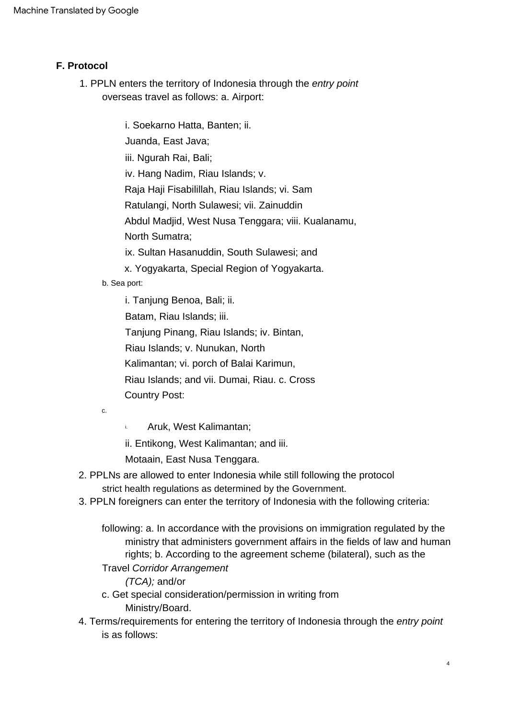## **F. Protocol**

overseas travel as follows: a. Airport: 1. PPLN enters the territory of Indonesia through the entry point

> iii. Ngurah Rai, Bali; iv. Hang Nadim, Riau Islands; v. Raja Haji Fisabilillah, Riau Islands; vi. Sam Ratulangi, North Sulawesi; vii. Zainuddin Abdul Madjid, West Nusa Tenggara; viii. Kualanamu, North Sumatra; i. Soekarno Hatta, Banten; ii. Juanda, East Java; ix. Sultan Hasanuddin, South Sulawesi; and x. Yogyakarta, Special Region of Yogyakarta.

b. Sea port:

i. Tanjung Benoa, Bali; ii.

Batam, Riau Islands; iii.

Tanjung Pinang, Riau Islands; iv. Bintan,

Riau Islands; v. Nunukan, North

Kalimantan; vi. porch of Balai Karimun,

Riau Islands; and vii. Dumai, Riau. c. Cross Country Post:

c.

i. Aruk, West Kalimantan;

ii. Entikong, West Kalimantan; and iii.

Motaain, East Nusa Tenggara.

- strict health regulations as determined by the Government. 2. PPLNs are allowed to enter Indonesia while still following the protocol
- 3. PPLN foreigners can enter the territory of Indonesia with the following criteria:
	- following: a. In accordance with the provisions on immigration regulated by the ministry that administers government affairs in the fields of law and human rights; b. According to the agreement scheme (bilateral), such as the

## Travel Corridor Arrangement

- (TCA); and/or
- Ministry/Board. c. Get special consideration/permission in writing from
- 4. Terms/requirements for entering the territory of Indonesia through the entry point is as follows: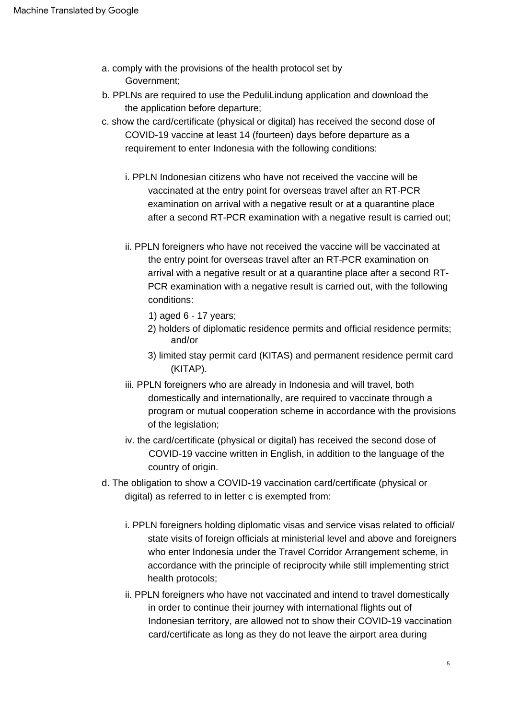- a. comply with the provisions of the health protocol set by Government;
- b. PPLNs are required to use the PeduliLindung application and download the the application before departure;
- c. show the card/certificate (physical or digital) has received the second dose of COVID-19 vaccine at least 14 (fourteen) days before departure as a requirement to enter Indonesia with the following conditions:
	- i. PPLN Indonesian citizens who have not received the vaccine will be vaccinated at the entry point for overseas travel after an RT-PCR examination on arrival with a negative result or at a quarantine place after a second RT-PCR examination with a negative result is carried out;
	- ii. PPLN foreigners who have not received the vaccine will be vaccinated at the entry point for overseas travel after an RT-PCR examination on arrival with a negative result or at a quarantine place after a second RT-PCR examination with a negative result is carried out, with the following conditions:
		- 1) aged 6 17 years;
		- 2) holders of diplomatic residence permits and official residence permits; and/or
		- 3) limited stay permit card (KITAS) and permanent residence permit card (KITAP).
	- iii. PPLN foreigners who are already in Indonesia and will travel, both domestically and internationally, are required to vaccinate through a program or mutual cooperation scheme in accordance with the provisions of the legislation;
	- iv. the card/certificate (physical or digital) has received the second dose of COVID-19 vaccine written in English, in addition to the language of the country of origin.
- d. The obligation to show a COVID-19 vaccination card/certificate (physical or digital) as referred to in letter c is exempted from:
	- i. PPLN foreigners holding diplomatic visas and service visas related to official/ state visits of foreign officials at ministerial level and above and foreigners who enter Indonesia under the Travel Corridor Arrangement scheme, in accordance with the principle of reciprocity while still implementing strict health protocols;
	- ii. PPLN foreigners who have not vaccinated and intend to travel domestically in order to continue their journey with international flights out of Indonesian territory, are allowed not to show their COVID-19 vaccination card/certificate as long as they do not leave the airport area during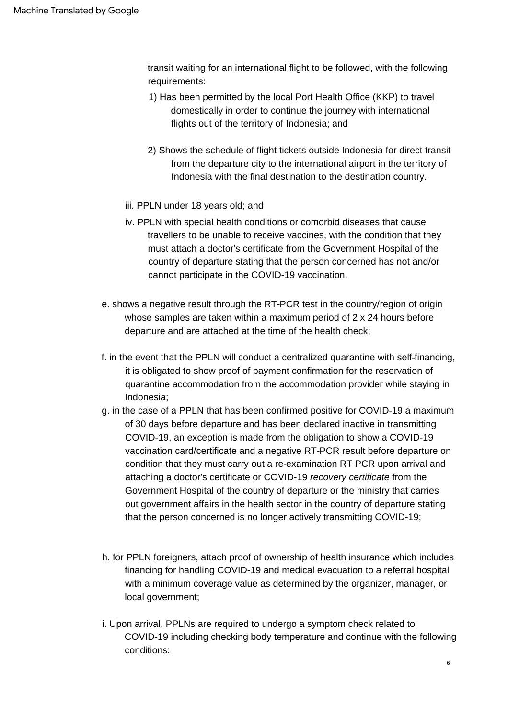transit waiting for an international flight to be followed, with the following requirements:

- 1) Has been permitted by the local Port Health Office (KKP) to travel domestically in order to continue the journey with international flights out of the territory of Indonesia; and
- 2) Shows the schedule of flight tickets outside Indonesia for direct transit from the departure city to the international airport in the territory of Indonesia with the final destination to the destination country.
- iii. PPLN under 18 years old; and
- iv. PPLN with special health conditions or comorbid diseases that cause travellers to be unable to receive vaccines, with the condition that they must attach a doctor's certificate from the Government Hospital of the country of departure stating that the person concerned has not and/or cannot participate in the COVID-19 vaccination.
- e. shows a negative result through the RT-PCR test in the country/region of origin whose samples are taken within a maximum period of 2 x 24 hours before departure and are attached at the time of the health check;
- f. in the event that the PPLN will conduct a centralized quarantine with self-financing, it is obligated to show proof of payment confirmation for the reservation of quarantine accommodation from the accommodation provider while staying in Indonesia;
- g. in the case of a PPLN that has been confirmed positive for COVID-19 a maximum of 30 days before departure and has been declared inactive in transmitting COVID-19, an exception is made from the obligation to show a COVID-19 vaccination card/certificate and a negative RT-PCR result before departure on condition that they must carry out a re-examination RT PCR upon arrival and attaching a doctor's certificate or COVID-19 recovery certificate from the Government Hospital of the country of departure or the ministry that carries out government affairs in the health sector in the country of departure stating that the person concerned is no longer actively transmitting COVID-19;
- h. for PPLN foreigners, attach proof of ownership of health insurance which includes financing for handling COVID-19 and medical evacuation to a referral hospital with a minimum coverage value as determined by the organizer, manager, or local government;
- i. Upon arrival, PPLNs are required to undergo a symptom check related to COVID-19 including checking body temperature and continue with the following conditions: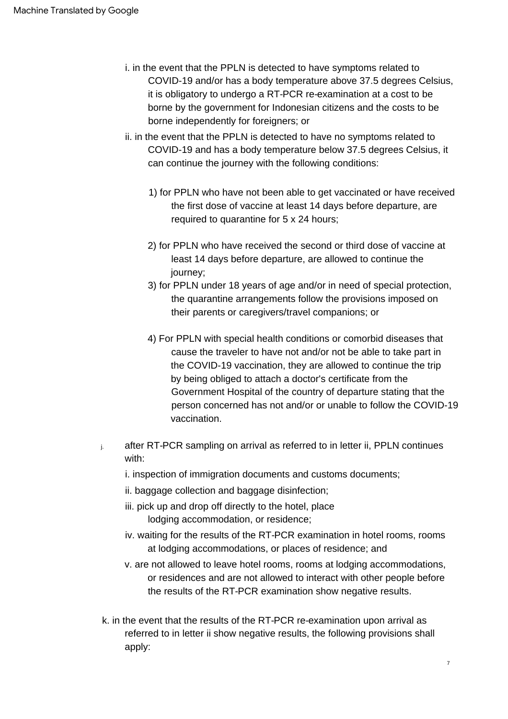- i. in the event that the PPLN is detected to have symptoms related to COVID-19 and/or has a body temperature above 37.5 degrees Celsius, it is obligatory to undergo a RT-PCR re-examination at a cost to be borne by the government for Indonesian citizens and the costs to be borne independently for foreigners; or
- ii. in the event that the PPLN is detected to have no symptoms related to COVID-19 and has a body temperature below 37.5 degrees Celsius, it can continue the journey with the following conditions:
	- 1) for PPLN who have not been able to get vaccinated or have received the first dose of vaccine at least 14 days before departure, are required to quarantine for 5 x 24 hours;
	- 2) for PPLN who have received the second or third dose of vaccine at least 14 days before departure, are allowed to continue the journey;
	- 3) for PPLN under 18 years of age and/or in need of special protection, the quarantine arrangements follow the provisions imposed on their parents or caregivers/travel companions; or
	- 4) For PPLN with special health conditions or comorbid diseases that cause the traveler to have not and/or not be able to take part in the COVID-19 vaccination, they are allowed to continue the trip by being obliged to attach a doctor's certificate from the Government Hospital of the country of departure stating that the person concerned has not and/or or unable to follow the COVID-19 vaccination.
- j. after RT-PCR sampling on arrival as referred to in letter ii, PPLN continues with:
	- i. inspection of immigration documents and customs documents;
	- ii. baggage collection and baggage disinfection;
	- lodging accommodation, or residence; iii. pick up and drop off directly to the hotel, place
	- iv. waiting for the results of the RT-PCR examination in hotel rooms, rooms at lodging accommodations, or places of residence; and
	- v. are not allowed to leave hotel rooms, rooms at lodging accommodations, or residences and are not allowed to interact with other people before the results of the RT-PCR examination show negative results.
- k. in the event that the results of the RT-PCR re-examination upon arrival as referred to in letter ii show negative results, the following provisions shall apply: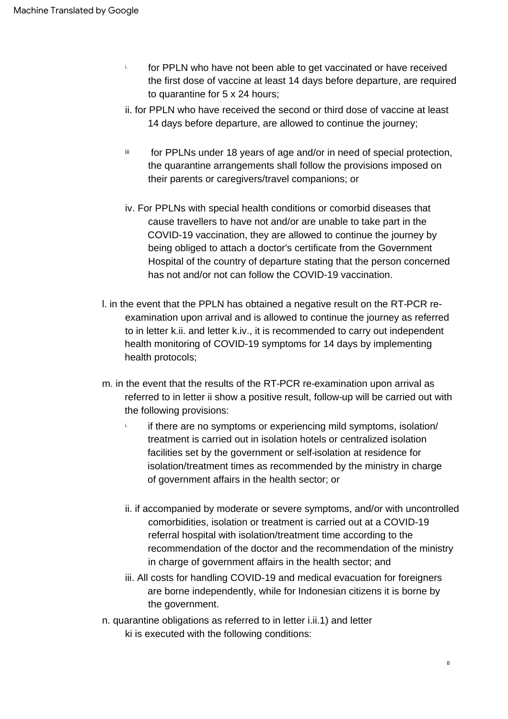- i. for PPLN who have not been able to get vaccinated or have received the first dose of vaccine at least 14 days before departure, are required to quarantine for 5 x 24 hours;
- ii. for PPLN who have received the second or third dose of vaccine at least 14 days before departure, are allowed to continue the journey;
- iii for PPLNs under 18 years of age and/or in need of special protection, the quarantine arrangements shall follow the provisions imposed on their parents or caregivers/travel companions; or
- iv. For PPLNs with special health conditions or comorbid diseases that cause travellers to have not and/or are unable to take part in the COVID-19 vaccination, they are allowed to continue the journey by being obliged to attach a doctor's certificate from the Government Hospital of the country of departure stating that the person concerned has not and/or not can follow the COVID-19 vaccination.
- l. in the event that the PPLN has obtained a negative result on the RT-PCR reexamination upon arrival and is allowed to continue the journey as referred to in letter k.ii. and letter k.iv., it is recommended to carry out independent health monitoring of COVID-19 symptoms for 14 days by implementing health protocols;
- m. in the event that the results of the RT-PCR re-examination upon arrival as referred to in letter ii show a positive result, follow-up will be carried out with the following provisions:
	- if there are no symptoms or experiencing mild symptoms, isolation/ treatment is carried out in isolation hotels or centralized isolation facilities set by the government or self-isolation at residence for isolation/treatment times as recommended by the ministry in charge of government affairs in the health sector; or i.
	- ii. if accompanied by moderate or severe symptoms, and/or with uncontrolled comorbidities, isolation or treatment is carried out at a COVID-19 referral hospital with isolation/treatment time according to the recommendation of the doctor and the recommendation of the ministry in charge of government affairs in the health sector; and
	- iii. All costs for handling COVID-19 and medical evacuation for foreigners are borne independently, while for Indonesian citizens it is borne by the government.
- n. quarantine obligations as referred to in letter i.ii.1) and letter ki is executed with the following conditions: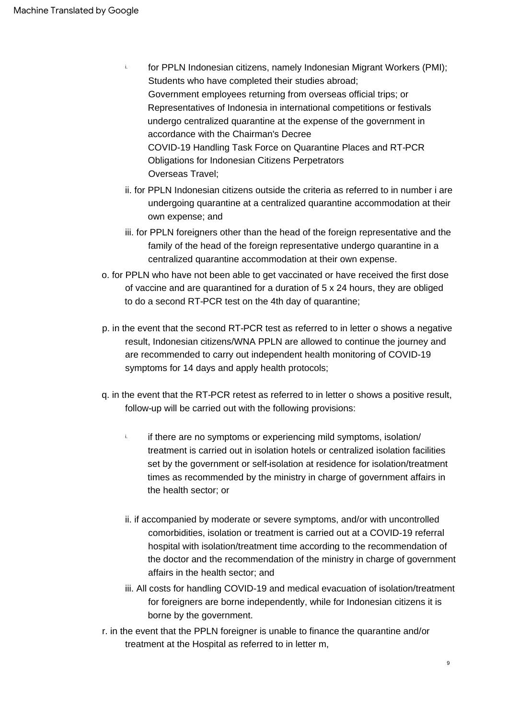- Students who have completed their studies abroad; COVID-19 Handling Task Force on Quarantine Places and RT-PCR Obligations for Indonesian Citizens Perpetrators Government employees returning from overseas official trips; or Representatives of Indonesia in international competitions or festivals undergo centralized quarantine at the expense of the government in accordance with the Chairman's Decree Overseas Travel; i. for PPLN Indonesian citizens, namely Indonesian Migrant Workers (PMI);
- ii. for PPLN Indonesian citizens outside the criteria as referred to in number i are undergoing quarantine at a centralized quarantine accommodation at their own expense; and
- iii. for PPLN foreigners other than the head of the foreign representative and the family of the head of the foreign representative undergo quarantine in a centralized quarantine accommodation at their own expense.
- o. for PPLN who have not been able to get vaccinated or have received the first dose of vaccine and are quarantined for a duration of 5 x 24 hours, they are obliged to do a second RT-PCR test on the 4th day of quarantine;
- p. in the event that the second RT-PCR test as referred to in letter o shows a negative result, Indonesian citizens/WNA PPLN are allowed to continue the journey and are recommended to carry out independent health monitoring of COVID-19 symptoms for 14 days and apply health protocols;
- q. in the event that the RT-PCR retest as referred to in letter o shows a positive result, follow-up will be carried out with the following provisions:
	- if there are no symptoms or experiencing mild symptoms, isolation/ treatment is carried out in isolation hotels or centralized isolation facilities set by the government or self-isolation at residence for isolation/treatment times as recommended by the ministry in charge of government affairs in the health sector; or i.
	- ii. if accompanied by moderate or severe symptoms, and/or with uncontrolled comorbidities, isolation or treatment is carried out at a COVID-19 referral hospital with isolation/treatment time according to the recommendation of the doctor and the recommendation of the ministry in charge of government affairs in the health sector; and
	- iii. All costs for handling COVID-19 and medical evacuation of isolation/treatment for foreigners are borne independently, while for Indonesian citizens it is borne by the government.
- r. in the event that the PPLN foreigner is unable to finance the quarantine and/or treatment at the Hospital as referred to in letter m,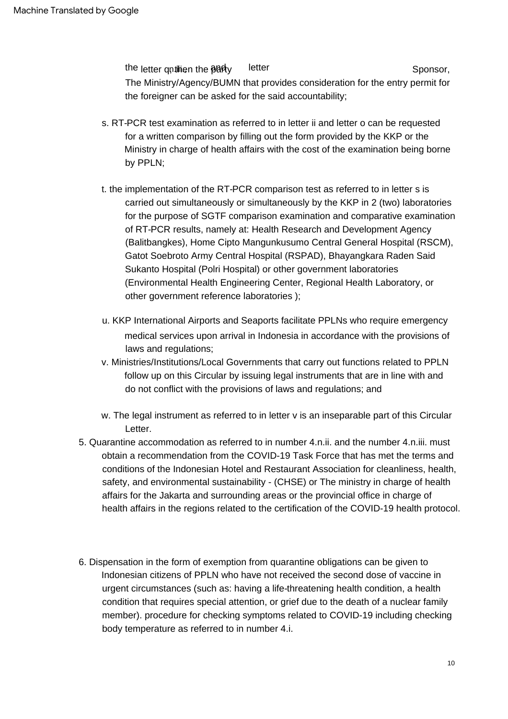letter Sponsor, the letter qntilien the **part**y The Ministry/Agency/BUMN that provides consideration for the entry permit for the foreigner can be asked for the said accountability;

- s. RT-PCR test examination as referred to in letter ii and letter o can be requested for a written comparison by filling out the form provided by the KKP or the Ministry in charge of health affairs with the cost of the examination being borne by PPLN;
- t. the implementation of the RT-PCR comparison test as referred to in letter s is carried out simultaneously or simultaneously by the KKP in 2 (two) laboratories for the purpose of SGTF comparison examination and comparative examination of RT-PCR results, namely at: Health Research and Development Agency (Balitbangkes), Home Cipto Mangunkusumo Central General Hospital (RSCM), Gatot Soebroto Army Central Hospital (RSPAD), Bhayangkara Raden Said Sukanto Hospital (Polri Hospital) or other government laboratories (Environmental Health Engineering Center, Regional Health Laboratory, or other government reference laboratories );
- u. KKP International Airports and Seaports facilitate PPLNs who require emergency medical services upon arrival in Indonesia in accordance with the provisions of laws and regulations;
- v. Ministries/Institutions/Local Governments that carry out functions related to PPLN follow up on this Circular by issuing legal instruments that are in line with and do not conflict with the provisions of laws and regulations; and
- w. The legal instrument as referred to in letter v is an inseparable part of this Circular Letter.
- 5. Quarantine accommodation as referred to in number 4.n.ii. and the number 4.n.iii. must obtain a recommendation from the COVID-19 Task Force that has met the terms and conditions of the Indonesian Hotel and Restaurant Association for cleanliness, health, safety, and environmental sustainability - (CHSE) or The ministry in charge of health affairs for the Jakarta and surrounding areas or the provincial office in charge of health affairs in the regions related to the certification of the COVID-19 health protocol.
- 6. Dispensation in the form of exemption from quarantine obligations can be given to Indonesian citizens of PPLN who have not received the second dose of vaccine in urgent circumstances (such as: having a life-threatening health condition, a health condition that requires special attention, or grief due to the death of a nuclear family member). procedure for checking symptoms related to COVID-19 including checking body temperature as referred to in number 4.i.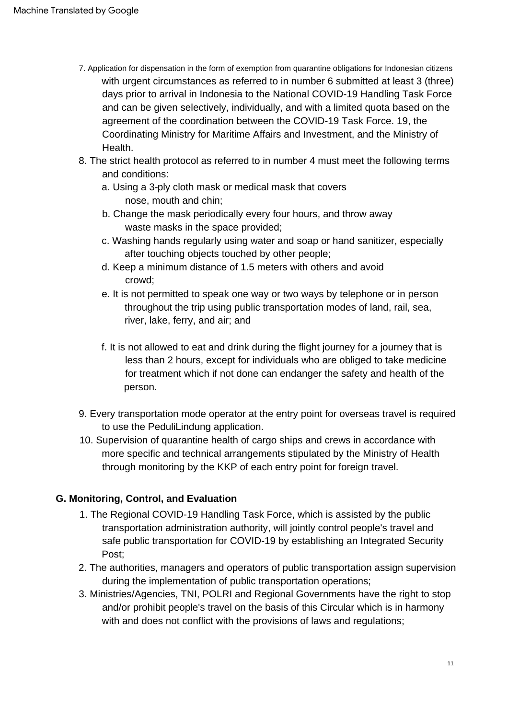- 7. Application for dispensation in the form of exemption from quarantine obligations for Indonesian citizens with urgent circumstances as referred to in number 6 submitted at least 3 (three) days prior to arrival in Indonesia to the National COVID-19 Handling Task Force and can be given selectively, individually, and with a limited quota based on the agreement of the coordination between the COVID-19 Task Force. 19, the Coordinating Ministry for Maritime Affairs and Investment, and the Ministry of Health.
- 8. The strict health protocol as referred to in number 4 must meet the following terms and conditions:
	- nose, mouth and chin; a. Using a 3-ply cloth mask or medical mask that covers
	- b. Change the mask periodically every four hours, and throw away waste masks in the space provided;
	- c. Washing hands regularly using water and soap or hand sanitizer, especially after touching objects touched by other people;
	- d. Keep a minimum distance of 1.5 meters with others and avoid crowd;
	- e. It is not permitted to speak one way or two ways by telephone or in person throughout the trip using public transportation modes of land, rail, sea, river, lake, ferry, and air; and
	- f. It is not allowed to eat and drink during the flight journey for a journey that is less than 2 hours, except for individuals who are obliged to take medicine for treatment which if not done can endanger the safety and health of the person.
- 9. Every transportation mode operator at the entry point for overseas travel is required to use the PeduliLindung application.
- 10. Supervision of quarantine health of cargo ships and crews in accordance with more specific and technical arrangements stipulated by the Ministry of Health through monitoring by the KKP of each entry point for foreign travel.

# **G. Monitoring, Control, and Evaluation**

- 1. The Regional COVID-19 Handling Task Force, which is assisted by the public transportation administration authority, will jointly control people's travel and safe public transportation for COVID-19 by establishing an Integrated Security Post;
- 2. The authorities, managers and operators of public transportation assign supervision during the implementation of public transportation operations;
- 3. Ministries/Agencies, TNI, POLRI and Regional Governments have the right to stop and/or prohibit people's travel on the basis of this Circular which is in harmony with and does not conflict with the provisions of laws and regulations;